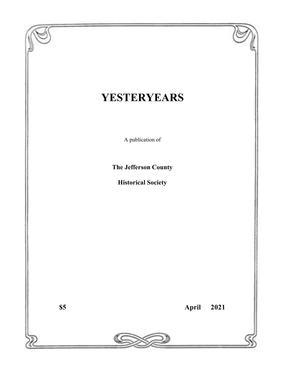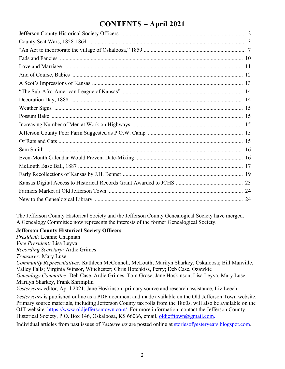# **CONTENTS – April 2021**

The Jefferson County Historical Society and the Jefferson County Genealogical Society have merged. A Genealogy Committee now represents the interests of the former Genealogical Society.

#### **Jefferson County Historical Society Officers**

*President:* Leanne Chapman *Vice President:* Lisa Leyva *Recording Secretary:* Ardie Grimes *Treasurer:* Mary Luse *Community Representatives:* Kathleen McConnell, McLouth; Marilyn Sharkey, Oskaloosa; Bill Manville, Valley Falls; Virginia Winsor, Winchester; Chris Hotchkiss, Perry; Deb Case, Ozawkie *Genealogy Committee:* Deb Case, Ardie Grimes, Tom Grose, Jane Hoskinson, Lisa Leyva, Mary Luse, Marilyn Sharkey, Frank Shrimplin *Yesteryears* editor, April 2021: Jane Hoskinson; primary source and research assistance, Liz Leech *Yesteryears* is published online as a PDF document and made available on the Old Jefferson Town website. Primary source materials, including Jefferson County tax rolls from the 1860s, will also be available on the OJT website: https://www.oldjeffersontown.com/. For more information, contact the Jefferson County Historical Society, P.O. Box 146, Oskaloosa, KS 66066, email, oldjefftown@gmail.com. Individual articles from past issues of *Yesteryears* are posted online at storiesofyesteryears.blogspot.com.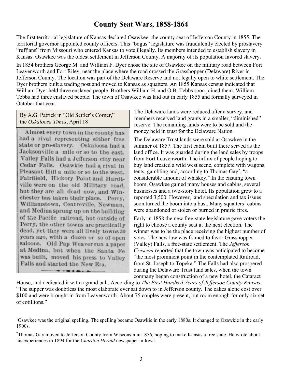## **County Seat Wars, 1858-1864**

The first territorial legislature of Kansas declared Osawkee<sup>1</sup> the county seat of Jefferson County in 1855. The territorial governor appointed county officers. This "bogus" legislature was fraudulently elected by proslavery "ruffians" from Missouri who entered Kansas to vote illegally. Its members intended to establish slavery in Kansas. Osawkee was the oldest settlement in Jefferson County. A majority of its population favored slavery.

In 1854 brothers George M. and William F. Dyer chose the site of Osawkee on the military road between Fort Leavenworth and Fort Riley, near the place where the road crossed the Grasshopper (Delaware) River in Jefferson County. The location was part of the Delaware Reserve and not legally open to white settlement. The Dyer brothers built a trading post and moved to Kansas as squatters. An 1855 Kansas census indicated that William Dyer held three enslaved people. Brothers William H. and O.B. Tebbs soon joined them. William Tebbs had three enslaved people. The town of Osawkee was laid out in early 1855 and formally surveyed in October that year.

By A.G. Patrick in "Old Settler's Corner," the *Oskaloosa Times*, April 18

Almost eyery town in the county has had a rival representing either free state or pro-slavery. Oskaloosa had a Jacksonville a mile or so to the east. Valley Falls had a Jefferson city near Cedar Falls. Osawkie had a rival in Pleasant Hill a mile or so to the west. Fairfiield, Hickory Point and Hardtville were on the old Military road. but they are all dead now, and Winchester has taken their place. Perry, Williamstown, Centreville, Newman, and Medina sprung up on the building of the Pacific railroad, but outside of Perry, the other towns are practically dead, yet they were all lively towns 30 years ago, with a dozen or so of open saloons. Old Pap Weaver run a paper at Medina, but when the Santa Fe was built, moved his press to Valley Falls and started the New Era.

The Delaware lands were reduced after a survey, and members received land grants in a smaller, "diminished" reserve. The remaining lands were to be sold and the money held in trust for the Delaware Nation.

The Delaware Trust lands were sold at Osawkee in the summer of 1857. The first cabin built there served as the land office. It was guarded during the land sales by troops from Fort Leavenworth. The influx of people hoping to buy land created a wild west scene, complete with wagons, tents, gambling and, according to Thomas Gay<sup>2</sup>, "a considerable amount of whiskey." In the ensuing town boom, Osawkee gained many houses and cabins, several businesses and a two-story hotel. Its population grew to a reported 3,500. However, land speculation and tax issues soon turned the boom into a bust. Many squatters' cabins were abandoned or stolen or burned in prairie fires.

Early in 1858 the new free-state legislature gave voters the right to choose a county seat at the next election. The winner was to be the place receiving the highest number of votes. The new law was framed to favor Grasshopper (Valley) Falls, a free-state settlement. The *Jefferson Crescent* reported that the town was anticipated to become "the most prominent point in the contemplated Railroad, from St. Joseph to Topeka." The Falls had also prospered during the Delaware Trust land sales, when the town company began construction of a new hotel, the Cataract

House, and dedicated it with a grand ball. According to *The First Hundred Years of Jefferson County Kansas*, "The supper was doubtless the most elaborate ever sat down to in Jefferson county. The cakes alone cost over \$100 and were brought in from Leavenworth. About 75 couples were present, but room enough for only six set of cotillions."

<sup>&</sup>lt;sup>1</sup>Osawkee was the original spelling. The spelling became Osawkie in the early 1880s. It changed to Ozawkie in the early 1900s.

 $2$ Thomas Gay moved to Jefferson County from Wisconsin in 1856, hoping to make Kansas a free state. He wrote about his experiences in 1894 for the *Chariton Herald* newspaper in Iowa.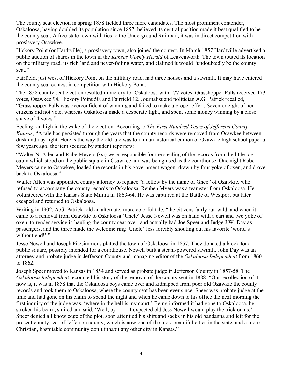The county seat election in spring 1858 fielded three more candidates. The most prominent contender, Oskaloosa, having doubled its population since 1857, believed its central position made it best qualified to be the county seat. A free-state town with ties to the Underground Railroad, it was in direct competition with proslavery Osawkee.

Hickory Point (or Hardtville), a proslavery town, also joined the contest. In March 1857 Hardtville advertised a public auction of shares in the town in the *Kansas Weekly Herald* of Leavenworth. The town touted its location on the military road, its rich land and never-failing water, and claimed it would "undoubtedly be the county seat."

Fairfield, just west of Hickory Point on the military road, had three houses and a sawmill. It may have entered the county seat contest in competition with Hickory Point.

The 1858 county seat election resulted in victory for Oskaloosa with 177 votes. Grasshopper Falls received 173 votes, Osawkee 94, Hickory Point 50, and Fairfield 12. Journalist and politician A.G. Patrick recalled, "Grasshopper Falls was overconfident of winning and failed to make a proper effort. Seven or eight of her citizens did not vote, whereas Oskaloosa made a desperate fight, and spent some money winning by a close shave of 4 votes."

Feeling ran high in the wake of the election. According to *The First Hundred Years of Jefferson County Kansas*, "A tale has persisted through the years that the county records were removed from Osawkee between dusk and day light. Here is the way the old tale was told in an historical edition of Ozawkie high school paper a few years ago, the item secured by student reporters:

"Walter N. Allen and Rube Meyers (*sic*) were responsible for the stealing of the records from the little log cabin which stood on the public square in Osawkee and was being used as the courthouse. One night Rube Meyers came to Osawkee, loaded the records in his government wagon, drawn by four yoke of oxen, and drove back to Oskaloosa."

Walter Allen was appointed county attorney to replace "a fellow by the name of Ghee" of Ozawkie, who refused to accompany the county records to Oskaloosa. Reuben Myers was a teamster from Oskaloosa. He volunteered with the Kansas State Militia in 1863-64. He was captured at the Battle of Westport but later escaped and returned to Oskaloosa.

Writing in 1902, A.G. Patrick told an alternate, more colorful tale, "the citizens fairly run wild, and when it came to a removal from Ozawkie to Oskaloosa 'Uncle' Jesse Newell was on hand with a cart and two yoke of oxen, to render service in hauling the county seat over, and actually had Joe Speer and Judge J.W. Day as passengers, and the three made the welcome ring 'Uncle' Jess forcibly shouting out his favorite 'world's without end!'"

Jesse Newell and Joseph Fitzsimmons platted the town of Oskaloosa in 1857. They donated a block for a public square, possibly intended for a courthouse. Newell built a steam-powered sawmill. John Day was an attorney and probate judge in Jefferson County and managing editor of the *Oskaloosa Independent* from 1860 to 1862.

Joseph Speer moved to Kansas in 1854 and served as probate judge in Jefferson County in 1857-58. The *Oskaloosa Independent* recounted his story of the removal of the county seat in 1888: "Our recollection of it now is, it was in 1858 that the Oskaloosa boys came over and kidnapped from poor old Ozawkie the county records and took them to Oskaloosa, where the county seat has been ever since. Speer was probate judge at the time and had gone on his claim to spend the night and when he came down to his office the next morning the first inquiry of the judge was, 'where in the hell is my court.' Being informed it had gone to Oskaloosa, he stroked his beard, smiled and said, 'Well, by -- I expected old Jess Newell would play the trick on us.' Speer denied all knowledge of the plot, soon after tied his shirt and socks in his old bandanna and left for the present county seat of Jefferson county, which is now one of the most beautiful cities in the state, and a more Christian, hospitable community don't inhabit any other city in Kansas."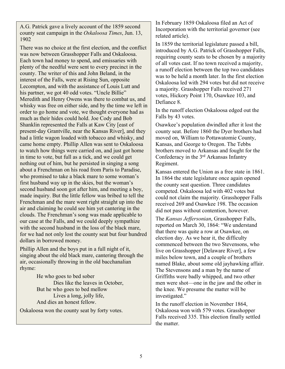A.G. Patrick gave a lively account of the 1859 second county seat campaign in the *Oskaloosa Times*, Jun. 13, 1902

There was no choice at the first election, and the conflict was now between Grasshopper Falls and Oskaloosa. Each town had money to spend, and emissaries with plenty of the needful were sent to every precinct in the county. The writer of this and John Beland, in the interest of the Falls, were at Rising Sun, opposite Lecompton, and with the assistance of Louis Lutt and his partner, we got 40 odd votes. "Uncle Billie" Meredith and Henry Owens was there to combat us, and whisky was free on either side, and by the time we left in order to go home and vote, we thought everyone had as much as their hides could hold. Joe Cody and Bob Shanklin represented the Falls at Kaw City [east of present-day Grantville, near the Kansas River], and they had a little wagon loaded with tobacco and whisky, and came home empty. Phillip Allen was sent to Oskaloosa to watch how things were carried on, and just got home in time to vote, but full as a tick, and we could get nothing out of him, but he persisted in singing a song about a Frenchman on his road from Paris to Paradise, who promised to take a black mare to some woman's first husband way up in the skies, but the woman's second husband soon got after him, and meeting a boy, made inquiry. But the little fellow was bribed to tell the Frenchman and the mare went right straight up into the air and claiming he could see him yet cantering in the clouds. The Frenchman's song was made applicable to our case at the Falls, and we could deeply sympathize with the second husband in the loss of the black mare, for we had not only lost the county seat but four hundred dollars in borrowed money.

Phillip Allen and the boys put in a full night of it, singing about the old black mare, cantering through the air, occasionally throwing in the old bacchanalian rhyme:

> He who goes to bed sober Dies like the leaves in October, But he who goes to bed mellow Lives a long, jolly life, And dies an honest fellow.

Oskaloosa won the county seat by forty votes.

In February 1859 Oskaloosa filed an Act of Incorporation with the territorial governor (see related article).

In 1859 the territorial legislature passed a bill, introduced by A.G. Patrick of Grasshopper Falls, requiring county seats to be chosen by a majority of all votes cast. If no town received a majority, a runoff election between the top two candidates was to be held a month later. In the first election Oskaloosa led with 294 votes but did not receive a majority. Grasshopper Falls received 271 votes, Hickory Point 170, Osawkee 103, and Defiance 8.

In the runoff election Oskaloosa edged out the Falls by 43 votes.

Osawkee's population dwindled after it lost the county seat. Before 1860 the Dyer brothers had moved on, William to Pottawatomie County, Kansas, and George to Oregon. The Tebbs brothers moved to Arkansas and fought for the Confederacy in the 3rd Arkansas Infantry Regiment.

Kansas entered the Union as a free state in 1861. In 1864 the state legislature once again opened the county seat question. Three candidates competed. Oskaloosa led with 402 votes but could not claim the majority. Grasshopper Falls received 269 and Osawkee 198. The occasion did not pass without contention, however.

The *Kansas Jeffersonian*, Grasshopper Falls, reported on March 30, 1864: "We understand that there was quite a row at Osawkee, on election day. As we hear it, the difficulty commenced between the two Stevensons, who live on Grasshopper [Delaware River], a few miles below town, and a couple of brothers named Blake, about some old jayhawking affair. The Stevensons and a man by the name of Griffiths were badly whipped, and two other men were shot—one in the jaw and the other in the knee. We presume the matter will be investigated."

In the runoff election in November 1864, Oskaloosa won with 579 votes. Grasshopper Falls received 335. This election finally settled the matter.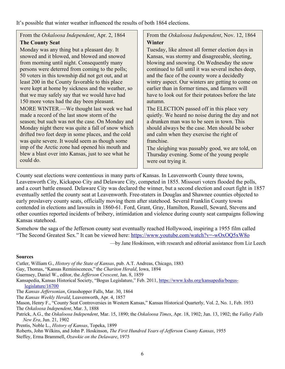It's possible that winter weather influenced the results of both 1864 elections.

## From the *Oskaloosa Independent*, Apr. 2, 1864 **The County Seat**

Monday was any thing but a pleasant day. It snowed and it blowed, and blowed and snowed from morning until night. Consequently many persons were deterred from coming to the polls; 50 voters in this township did not get out, and at least 200 in the County favorable to this place were kept at home by sickness and the weather, so that we may safely say that we would have had 150 more votes had the day been pleasant. MORE WINTER.—We thought last week we had made a record of the last snow storm of the season; but such was not the case. On Monday and Monday night there was quite a fall of snow which drifted two feet deep in some places, and the cold was quite severe. It would seem as though some imp of the Arctic zone had opened his mouth and blew a blast over into Kansas, just to see what he could do.

From the *Oskaloosa Independent*, Nov. 12, 1864 **Winter** 

Tuesday, like almost all former election days in Kansas, was stormy and disagreeable, sleeting, blowing and snowing. On Wednesday the snow continued to fall until it was several inches deep, and the face of the county wore a decidedly wintry aspect. Our winters are getting to come on earlier than in former times, and farmers will have to look out for their potatoes before the late autumn.

The ELECTION passed off in this place very quietly. We heard no noise during the day and not a drunken man was to be seen in town. This should always be the case. Men should be sober and calm when they exercise the right of franchise.

The sleighing was passably good, we are told, on Thursday evening. Some of the young people were out trying it.

County seat elections were contentious in many parts of Kansas. In Leavenworth County three towns, Leavenworth City, Kickapoo City and Delaware City, competed in 1855. Missouri voters flooded the polls, and a court battle ensued. Delaware City was declared the winner, but a second election and court fight in 1857 eventually settled the county seat at Leavenworth. Free-staters in Douglas and Shawnee counties objected to early proslavery county seats, officially moving them after statehood. Several Franklin County towns contended in elections and lawsuits in 1860-61. Ford, Grant, Gray, Hamilton, Russell, Seward, Stevens and other counties reported incidents of bribery, intimidation and violence during county seat campaigns following Kansas statehood.

Somehow the saga of the Jefferson county seat eventually reached Hollywood, inspiring a 1955 film called "The Second Greatest Sex." It can be viewed here: https://www.youtube.com/watch?v=-wOxOQ5xW8o

—by Jane Hoskinson, with research and editorial assistance from Liz Leech

#### **Sources**

Cutler, William G., *History of the State of Kansas*, pub. A.T. Andreas, Chicago, 1883 Gay, Thomas, "Kansas Reminiscences," the *Chariton Herald*, Iowa, 1894 Guernsey, Daniel W., editor, the *Jefferson Crescent*, Jan. 8, 1859 Kansapedia, Kansas Historical Society, "Bogus Legislature," Feb. 2011, https://www.kshs.org/kansapedia/boguslegislature/16700 The *Kansas Jeffersonian*, Grasshopper Falls, Mar. 30, 1864 The *Kansas Weekly Herald*, Leavenworth, Apr. 4, 1857 Mason, Henry F., "County Seat Controversies in Western Kansas," Kansas Historical Quarterly, Vol. 2, No. 1, Feb. 1933 The *Oskaloosa Independent*, Mar. 3, 1888 Patrick, A.G., the *Oskaloosa Independent*, Mar. 15, 1890; the *Oskaloosa Times*, Apr. 18, 1902; Jun. 13, 1902; the *Valley Falls New Era*, Jun. 21, 1902 Prentis, Noble L., *History of Kansas*, Topeka, 1899 Roberts, John Wilkins, and John P. Hoskinson, *The First Hundred Years of Jefferson County Kansas*, 1955

Steffey, Erma Brammell, *Ozawkie on the Delaware*, 1975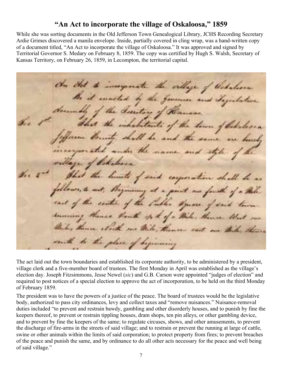## **"An Act to incorporate the village of Oskaloosa," 1859**

While she was sorting documents in the Old Jefferson Town Genealogical Library, JCHS Recording Secretary Ardie Grimes discovered a manila envelope. Inside, partially covered in cling wrap, was a hand-written copy of a document titled, "An Act to incorporate the village of Oskaloosa." It was approved and signed by Territorial Governor S. Medary on February 8, 1859. The copy was certified by Hugh S. Walsh, Secretary of Kansas Territory, on February 26, 1859, in Lecompton, the territorial capital.

On that to insegnate the village of Cedulian Be it musted by the former and Togetheline december the Suretory of Ramson. di c the inhabitants of the town of Oskelson farm bounty, shall be and the same are busy under the name and styledie god the limits of said corporation shall be as follows, to soit, Beginning at a point one fourth of a thile cast of the center of the Public square of said town demoning themes thank of the of a thile, thence that we Miles there which me Wile, thence east on this theme to the place of beginning

The act laid out the town boundaries and established its corporate authority, to be administered by a president, village clerk and a five-member board of trustees. The first Monday in April was established as the village's election day. Joseph Fitzsimmons, Jesse Newel (*sic*) and G.B. Carson were appointed "judges of election" and required to post notices of a special election to approve the act of incorporation, to be held on the third Monday of February 1859.

The president was to have the powers of a justice of the peace. The board of trustees would be the legislative body, authorized to pass city ordinances, levy and collect taxes and "remove nuisances." Nuisance-removal duties included "to prevent and restrain bawdy, gambling and other disorderly houses, and to punish by fine the keepers thereof, to prevent or restrain tippling houses, dram shops, ten pin alleys, or other gambling device, and to prevent by fine the keepers of the same; to regulate circuses, shows, and other amusements, to prevent the discharge of fire-arms in the streets of said village; and to restrain or prevent the running at large of cattle, swine or other animals within the limits of said corporation; to protect property from fires; to prevent breaches of the peace and punish the same, and by ordinance to do all other acts necessary for the peace and well being of said village."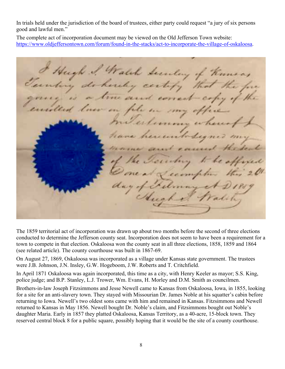In trials held under the jurisdiction of the board of trustees, either party could request "a jury of six persons good and lawful men."

The complete act of incorporation document may be viewed on the Old Jefferson Town website: https://www.oldjeffersontown.com/forum/found-in-the-stacks/act-to-incorporate-the-village-of-oskaloosa.

Hugh I Walch Secretary of Known, do hereby certify true and correct copy in fele **EXPRESS** hereuntoday out a personal

The 1859 territorial act of incorporation was drawn up about two months before the second of three elections conducted to determine the Jefferson county seat. Incorporation does not seem to have been a requirement for a town to compete in that election. Oskaloosa won the county seat in all three elections, 1858, 1859 and 1864 (see related article). The county courthouse was built in 1867-69.

On August 27, 1869, Oskaloosa was incorporated as a village under Kansas state government. The trustees were J.B. Johnson, J.N. Insley, G.W. Hogeboom, J.W. Roberts and T. Critchfield.

In April 1871 Oskaloosa was again incorporated, this time as a city, with Henry Keeler as mayor; S.S. King, police judge; and B.P. Stanley, L.J. Trower, Wm. Evans, H. Morley and D.M. Smith as councilmen.

Brothers-in-law Joseph Fitzsimmons and Jesse Newell came to Kansas from Oskaloosa, Iowa, in 1855, looking for a site for an anti-slavery town. They stayed with Missourian Dr. James Noble at his squatter's cabin before returning to Iowa. Newell's two oldest sons came with him and remained in Kansas. Fitzsimmons and Newell returned to Kansas in May 1856. Newell bought Dr. Noble's claim, and Fitzsimmons bought out Noble's daughter Maria. Early in 1857 they platted Oskaloosa, Kansas Territory, as a 40-acre, 15-block town. They reserved central block 8 for a public square, possibly hoping that it would be the site of a county courthouse.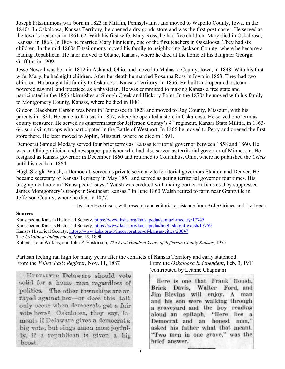Joseph Fitzsimmons was born in 1823 in Mifflin, Pennsylvania, and moved to Wapello County, Iowa, in the 1840s. In Oskaloosa, Kansas Territory, he opened a dry goods store and was the first postmaster. He served as the town's treasurer in 1861-62. With his first wife, Mary Ross, he had five children. Mary died in Oskaloosa, Kansas, in 1863. In 1864 he married Mary Finnicum, one of the first teachers in Oskaloosa. They had six children. In the mid-1860s Fitzsimmons moved his family to neighboring Jackson County, where he became a leading Republican. He later moved to Olathe, Kansas, where he died at the home of his daughter Georgia Griffiths in 1909.

Jesse Newell was born in 1812 in Ashland, Ohio, and moved to Mahaska County, Iowa, in 1848. With his first wife, Mary, he had eight children. After her death he married Rosanna Ross in Iowa in 1853. They had two children. He brought his family to Oskaloosa, Kansas Territory, in 1856. He built and operated a steampowered sawmill and practiced as a physician. He was committed to making Kansas a free state and participated in the 1856 skirmishes at Slough Creek and Hickory Point. In the 1870s he moved with his family to Montgomery County, Kansas, where he died in 1881.

Gideon Blackburn Carson was born in Tennessee in 1828 and moved to Ray County, Missouri, with his parents in 1831. He came to Kansas in 1857, where he operated a store in Oskaloosa. He served one term as county treasurer. He served as quartermaster for Jefferson County's 4th regiment, Kansas State Militia, in 1863- 64, supplying troops who participated in the Battle of Westport. In 1866 he moved to Perry and opened the first store there. He later moved to Joplin, Missouri, where he died in 1891.

Democrat Samuel Medary served four brief terms as Kansas territorial governor between 1858 and 1860. He was an Ohio politician and newspaper publisher who had also served as territorial governor of Minnesota. He resigned as Kansas governor in December 1860 and returned to Columbus, Ohio, where he published the *Crisis* until his death in 1864.

Hugh Sleight Walsh, a Democrat, served as private secretary to territorial governors Stanton and Denver. He became secretary of Kansas Territory in May 1858 and served as acting territorial governor four times. His biographical note in "Kansapedia" says, "Walsh was credited with aiding border ruffians as they suppressed James Montgomery's troops in Southeast Kansas." In June 1860 Walsh retired to farm near Grantville in Jefferson County, where he died in 1877.

—by Jane Hoskinson, with research and editorial assistance from Ardie Grimes and Liz Leech

#### **Sources**

Kansapedia, Kansas Historical Society, https://www.kshs.org/kansapedia/samuel-medary/17745 Kansapedia, Kansas Historical Society, https://www.kshs.org/kansapedia/hugh-sleight-walsh/17759 Kansas Historical Society, https://www.kshs.org/p/incorporation-of-kansas-cities/20047 The *Oskaloosa Independent*, Mar. 15, 1890 Roberts, John Wilkins, and John P. Hoskinson, *The First Hundred Years of Jefferson County Kansas*, 1955

Partisan feeling ran high for many years after the conflicts of Kansas Territory and early statehood.

**HEREAFTER Delaware should vote** solid for a home man regardless of politics. The other townships are arrayed against her-or does this talk only occur when democrats get a fair vote here? Oskaloosa, they say, lamonts if Delaware gives a democrat a big vote; but sings amen most joyfully, if a republican is given a big boost.

From the *Valley Falls Register*, Nov. 11, 1887 From the *Oskaloosa Independent*, Feb. 3, 1911 (contributed by Leanne Chapman)

> Here is one that Frank Housh, Brick Davis, Walter Ford, and Jim Blevins will enjoy. A man and his son were walking through a graveyard and the boy reading aloud an epitaph, "Here lies a Democrat and an honest man." asked his father what that meant. "Two men in one grave," was the brief answer.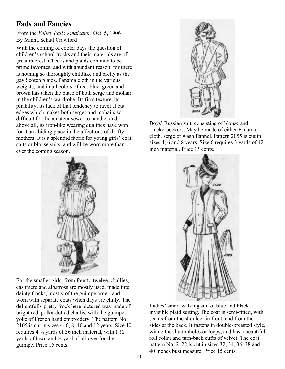# **Fads and Fancies**

From the *Valley Falls Vindicator*, Oct. 5, 1906 By Minna Schatt Crawford

With the coming of cooler days the question of children's school frocks and their materials are of great interest. Checks and plaids continue to be prime favorites, and with abundant reason, for there is nothing so thoroughly childlike and pretty as the gay Scotch plaids. Panama cloth in the various weights, and in all colors of red, blue, green and brown has taken the place of both serge and mohair in the children's wardrobe. Its firm texture, its pliability, its lack of that tendency to ravel at cut edges which makes both serges and mohairs so difficult for the amateur sewer to handle; and, above all, its iron-like wearing qualities have won for it an abiding place in the affections of thrifty mothers. It is a splendid fabric for young girls' coat suits or blouse suits, and will be worn more than ever the coming season.



For the smaller girls, from four to twelve, challies, cashmere and albatross are mostly used, made into dainty frocks, mostly of the guimpe order, and worn with separate coats when days are chilly. The delightfully pretty frock here pictured was made of bright red, polka-dotted challis, with the guimpe yoke of French hand embroidery. The pattern No. 2105 is cut in sizes 4, 6, 8, 10 and 12 years. Size 10 requires 4 ¼ yards of 36 inch material, with 1 ½ yards of lawn and ½ yard of all-over for the guimpe. Price 15 cents.



Boys' Russian suit, consisting of blouse and knickerbockers. May be made of either Panama cloth, serge or wash flannel. Pattern 2055 is cut in sizes 4, 6 and 8 years. Size 6 requires 3 yards of 42 inch material. Price 15 cents.



Ladies' smart walking suit of blue and black invisible plaid suiting. The coat is semi-fitted, with seams from the shoulder in front, and from the sides at the back. It fastens in double-breasted style, with either buttonholes or loops, and has a beautiful roll collar and turn-back cuffs of velvet. The coat pattern No. 2122 is cut in sizes 32, 34, 36, 38 and 40 inches bust measure. Price 15 cents.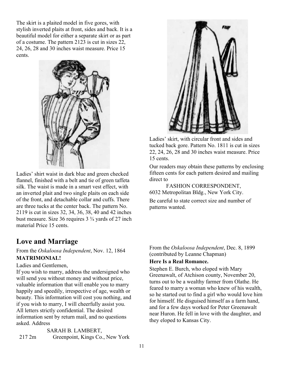The skirt is a plaited model in five gores, with stylish inverted plaits at front, sides and back. It is a beautiful model for either a separate skirt or as part of a costume. The pattern 2123 is cut in sizes 22, 24, 26, 28 and 30 inches waist measure. Price 15 cents.



Ladies' shirt waist in dark blue and green checked flannel, finished with a belt and tie of green taffeta silk. The waist is made in a smart vest effect, with an inverted plait and two single plaits on each side of the front, and detachable collar and cuffs. There are three tucks at the center back. The pattern No. 2119 is cut in sizes 32, 34, 36, 38, 40 and 42 inches bust measure. Size 36 requires 3 ¾ yards of 27 inch material Price 15 cents.

## **Love and Marriage**

#### From the *Oskaloosa Independent*, Nov. 12, 1864 **MATRIMONIAL!**

Ladies and Gentlemen,

If you wish to marry, address the undersigned who will send you without money and without price, valuable information that will enable you to marry happily and speedily, irrespective of age, wealth or beauty. This information will cost you nothing, and if you wish to marry, I will cheerfully assist you. All letters strictly confidential. The desired information sent by return mail, and no questions asked. Address

SARAH B. LAMBERT, 217 2m Greenpoint, Kings Co., New York



Ladies' skirt, with circular front and sides and tucked back gore. Pattern No. 1811 is cut in sizes 22, 24, 26, 28 and 30 inches waist measure. Price 15 cents.

Our readers may obtain these patterns by enclosing fifteen cents for each pattern desired and mailing direct to

FASHION CORRESPONDENT, 6032 Metropolitan Bldg., New York City.

Be careful to state correct size and number of patterns wanted.

From the *Oskaloosa Independent*, Dec. 8, 1899 (contributed by Leanne Chapman)

#### **Here Is a Real Romance.**

Stephen E. Burch, who eloped with Mary Greenawalt, of Atchison county, November 20, turns out to be a wealthy farmer from Olathe. He feared to marry a woman who knew of his wealth, so he started out to find a girl who would love him for himself. He disguised himself as a farm hand, and for a few days worked for Peter Greenawalt near Huron. He fell in love with the daughter, and they eloped to Kansas City.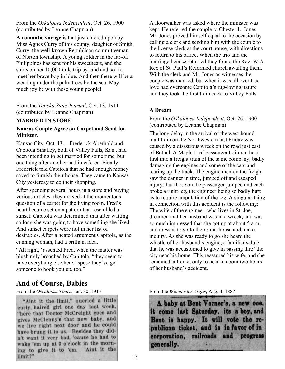From the *Oskaloosa Independent*, Oct. 26, 1900 (contributed by Leanne Chapman)

**A romantic voyage** is that just entered upon by Miss Agnes Curry of this county, daughter of Smith Curry, the well-known Republican committeeman of Norton township. A young soldier in the far-off Philippines has sent for his sweetheart, and she starts on her 10,000 mile trip by land and sea to meet her brave boy in blue. And then there will be a wedding under the palm trees by the sea. May much joy be with these young people!

From the *Topeka State Journal*, Oct. 13, 1911 (contributed by Leanne Chapman)

#### **MARRIED IN STORE.**

#### **Kansas Couple Agree on Carpet and Send for Minister.**

Kansas City, Oct. 13.—Frederick Aberhold and Capitola Smalley, both of Valley Falls, Kan., had been intending to get married for some time, but one thing after another had interfered. Finally Frederick told Capitola that he had enough money saved to furnish their house. They came to Kansas City yesterday to do their shopping.

After spending several hours in a store and buying various articles, they arrived at the momentous question of a carpet for the living room. Fred's heart became set on a pattern that resembled a sunset. Capitola was determined that after waiting so long she was going to have something she liked. And sunset carpets were not in her list of desirables. After a heated argument Capitola, as the cunning woman, had a brilliant idea.

"All right," assented Fred, when the matter was blushingly broached by Capitola, "they seem to have everything else here, 'spose they've got someone to hook you up, too."

## **And of Course, Babies**

"Aint it the limit," queried a little curly haired girl one day last week, "here that Doctor McCreight goes and gives McClenny's that new baby, and we live right next door and he could have brung it to us. Besides they didn't want it very bad, 'cause he had to wake 'em up at 3 o'clock in the morning to give it to 'em. 'Aint it the limit?"

A floorwalker was asked where the minister was kept. He referred the couple to Chester L. Jones. Mr. Jones proved himself equal to the occasion by calling a clerk and sending him with the couple to the license clerk at the court house, with directions to return to his office. When the trio and the marriage license returned they found the Rev. W.A. Rex of St. Paul's Reformed church awaiting them. With the clerk and Mr. Jones as witnesses the couple was married, but when it was all over true love had overcome Capitola's rug-loving nature and they took the first train back to Valley Falls.

#### **A Dream**

From the *Oskaloosa Independent*, Oct. 26, 1900 (contributed by Leanne Chapman)

The long delay in the arrival of the west-bound mail train on the Northwestern last Friday was caused by a disastrous wreck on the road just east of Bethel. A Maple Leaf passenger train ran head first into a freight train of the same company, badly damaging the engines and some of the cars and tearing up the track. The engine men on the freight saw the danger in time, jumped off and escaped injury; but those on the passenger jumped and each broke a right leg, the engineer being so badly hurt as to require amputation of the leg. A singular thing in connection with this accident is the following: The wife of the engineer, who lives in St. Joe, dreamed that her husband was in a wreck, and was so much impressed that she got up at about 5 a.m. and dressed to go to the round-house and make inquiry. As she was ready to go she heard the whistle of her husband's engine, a familiar salute that he was accustomed to give in passing thro' the city near his home. This reassured his wife, and she remained at home, only to hear in about two hours of her husband's accident.

From the *Oskaloosa Times*, Jan. 30, 1913 **From the** *Winchester Argus*, Aug. 4, 1887

A baby at Bent Varner's, a new one. it come last Saturday, its a boy, and Bent is happy. It will vote the republican ticket, and is in favor of in corporation, railroads and progress generally.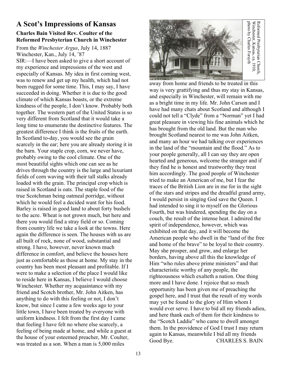## **A Scot's Impressions of Kansas Charles Bain Visited Rev. Coulter of the Reformed Presbyterian Church in Winchester**

From the *Winchester Argus*, July 14, 1887 Winchester, Kan., July 14, '87

SIR:—I have been asked to give a short account of my experience and impressions of the west and especially of Kansas. My idea in first coming west, was to renew and get up my health, which had not been rugged for some time. This, I may say, I have succeeded in doing. Whether it is due to the good climate of which Kansas boasts, or the extreme kindness of the people, I don't know. Probably both together. The western part of the United States is so very different from Scotland that it would take a long time to enumerate the destinctive features. The greatest difference I think is the fruits of the earth. In Scotland to-day, you would see the grain scarcely in the ear; here you are already storing it in the barn. Your staple crop, corn, we never have, probably owing to the cool climate. One of the most beautiful sights which one can see as he drives through the country is the large and luxuriant fields of corn waving with their tall stalks already loaded with the grain. The principal crop which is raised in Scotland is oats. The staple food of the true Scotchman being oatmeal porridge, without which he would feel a decided want for his food. Barley is raised in good land to about forty bushels to the acre. Wheat is not grown much, but here and there you would find a stray field or so. Coming from country life we take a look at the towns. Here again the difference is seen. The houses with us are all built of rock, none of wood, substantial and strong. I have, however, never known much difference in comfort, and believe the houses here just as comfortable as those at home. My stay in the country has been most pleasant and profitable. If I were to make a selection of the place I would like to reside here in Kansas, I believe I would choose Winchester. Whether my acquaintance with my friend and Scotch brother, Mr. John Aitken, has anything to do with this feeling or not, I don't know, but since I came a few weeks ago to your little town, I have been treated by everyone with uniform kindness. I felt from the first day I came that feeling I have felt no where else scarcely, a feeling of being made at home, and while a guest at the house of your esteemed preacher, Mr. Coulter, was treated as a son. When a man is 5,000 miles



away from home and friends to be treated in this way is very grattifying and thus my stay in Kansas, and especially in Winchester, will remain with me as a bright time in my life. Mr. John Carson and I have had many chats about Scotland and although I could not tell a "Clyde" from a "Norman" yet I had great pleasure in viewing his fine animals which he has brought from the old land. But the man who brought Scotland nearest to me was John Aitken, and many an hour we had talking over experiences in the land of the "mountain and the flood." As to your people generally, all I can say they are open hearted and generous, welcome the stranger and if they find he is honest and trustworthy they treat him accordingly. The good people of Winchester tried to make an American of me, but I fear the traces of the British Lion are in me for in the sight of the stars and stripes and the dreadful grand army, I would persist in singing God save the Queen. I had intended to sing it to myself on the Glorious Fourth, but was hindered, spending the day on a couch, the result of the intense heat. I admired the spirit of independence, however, which was exhibited on that day, and it will become the American people who dwell in the "land of the free and home of the brave" to be loyal to their country. May she prosper, and grow, and enlarge her borders, having above all this the knowledge of Him "who rules above prime ministers" and that characteristic worthy of any people, the righteousness which exalteth a nation. One thing more and I have done. I rejoice that so much opportunity has been given me of preaching the gospel here, and I trust that the result of my words may yet be found to the glory of Him whom I would ever serve. I have to bid all my friends adieu, and here thank each of them for their kindness to the "Scotch Laddie" who came to dwell amongst them. In the providence of God I trust I may return again to Kansas, meanwhile I bid all my friends For the stars and friends to be tracted in this way is very gratifying and thus my stay in Kansas as a bright time in my life. Mr. Dthn Carson and I have had many chats for the two Charles Forsyth Winchester, will remain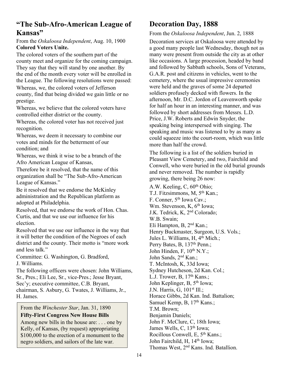## **"The Sub-Afro-American League of Kansas"**

#### From the *Oskaloosa Independent*, Aug. 10, 1900 **Colored Voters Unite.**

The colored voters of the southern part of the county meet and organize for the coming campaign. They say that they will stand by one another. By the end of the month every voter will be enrolled in the League. The following resolutions were passed: Whereas, we, the colored voters of Jefferson county, find that being divided we gain little or no prestige.

Whereas, we believe that the colored voters have controlled either district or the county.

Whereas, the colored voter has not received just recognition.

Whereas, we deem it necessary to combine our votes and minds for the betterment of our condition; and

Whereas, we think it wise to be a branch of the Afro American League of Kansas,

Therefore be it resolved, that the name of this organization shall be "The Sub-Afro-American League of Kansas."

Be it resolved that we endorse the McKinley administration and the Republican platform as adopted at Philadelphia.

Resolved, that we endorse the work of Hon. Chas. Curtis, and that we use our influence for his election.

Resolved that we use our influence in the way that it will better the condition of the Negroes of each district and the county. Their motto is "more work and less talk."

Committee: G. Washington, G. Bradford, J. Williams.

The following officers were chosen: John Williams, Sr., Pres.; Eli Lee, Sr., vice-Pres.; Jesse Bryant, Sec'y; executive committee, C.B. Bryant, chairman, S. Asbury, G. Twates, J. Williams, Jr., H. James.

## From the *Winchester Star*, Jan. 31, 1890 **Fifty-First Congress New House Bills**

Among new bills in the house are: . . . one by Kelly, of Kansas, (by request) appropriating \$100,000 to the erection of a monument to the negro soldiers, and sailors of the late war.

# **Decoration Day, 1888**

From the *Oskaloosa Independent*, Jun. 2, 1888

Decoration services at Oskaloosa were attended by a good many people last Wednesday, though not as many were present from outside the city as at other like occasions. A large procession, headed by band and followed by Sabbath schools, Sons of Veterans, G.A.R. post and citizens in vehicles, went to the cemetery, where the usual impressive ceremonies were held and the graves of some 24 departed soldiers profusely decked with flowers. In the afternoon, Mr. D.C. Jordon of Leavenworth spoke for half an hour in an interesting manner, and was followed by short addresses from Messrs. L.D. Price, J.W. Roberts and Edwin Snyder, the speaking being interspersed with singing. The speaking and music was listened to by as many as could squeeze into the court-room, which was little more than half the crowd.

The following is a list of the soldiers buried in Pleasant View Cemetery, and two, Fairchild and Conwell, who were buried in the old burial grounds and never removed. The number is rapidly growing, there being 26 now:

A.W. Keeling, C, 60<sup>th</sup> Ohio; T.J. Fitzsimmons, M, 5<sup>th</sup> Kan.; F. Conner, 5<sup>th</sup> Iowa Cav.; Wm. Stevenson, K, 6<sup>th</sup> Iowa; J.K. Tedrick, K, 2nd Colorado; W.B. Swain; Eli Hampton, B, 2nd Kan.; Henry Buckmaster, Surgeon, U.S. Vols.; Jules L. Williams, H, 4<sup>th</sup> Mich.; Perry Bates, B, 137<sup>th</sup> Penn.; John Hinden, F,  $10^{th}$  N.Y.; John Sands, 2nd Kan.; T. McIntosh, K, 33d Iowa; Sydney Hutcheson, 2d Kan. Col.; L.J. Trower, B,  $17<sup>th</sup>$  Kans.; John Keplinger, B, 5<sup>th</sup> Iowa; J.N. Harris, G, 101st Ill.; Horace Gibbs, 2d Kan. Ind. Battalion; Samuel Kemp, B, 17<sup>th</sup> Kans.; T.M. Brown; Benjamin Daniels; John F. McClure, C, 18th Iowa; James Wells, C, 13<sup>th</sup> Iowa; Rocillous Conwell, E, 5th Kans.; John Fairchild, H, 14<sup>th</sup> Iowa; Thomas West, 2nd Kans. Ind. Batallion.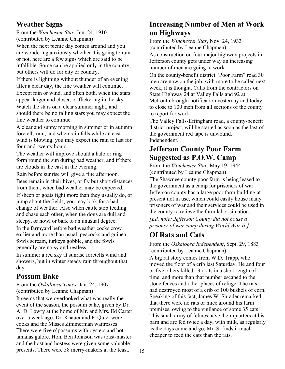## **Weather Signs**

From the *Winchester Star*, Jun. 24, 1910 (contributed by Leanne Chapman)

When the next picnic day comes around and you are wondering anxiously whether it is going to rain or not, here are a few signs which are said to be infallible. Some can be applied only in the country, but others will do for city or country.

If there is lightning without thunder of an evening after a clear day, the fine weather will continue. Except rain or wind, and often both, when the stars appear larger and closer, or flickering in the sky Watch the stars on a clear summer night, and should there be no falling stars you may expect the fine weather to continue.

A clear and sunny morning in summer or in autumn foretells rain, and when rain falls while an east wind is blowing, you may expect the rain to last for four-and-twenty hours.

The weather will improve should a halo or ring form round the sun during bad weather, and if there are clouds in the east in the evening.

Rain before sunrise will give a fine afternoon. Bees remain in their hives, or fly but short distances from them, when bad weather may be expected.

If sheep or goats fight more than they usually do, or jump about the fields, you may look for a bad change of weather. Also when cattle stop feeding and chase each other, when the dogs are dull and sleepy, or howl or bark to an unusual degree.

In the farmyard before bad weather cocks crow earlier and more than usual, peacocks and guinea fowls scream, turkeys gobble, and the fowls generally are noisy and restless.

In summer a red sky at sunrise foretells wind and showers, but in winter steady rain throughout that day.

## **Possum Bake**

From the *Oskaloosa Times*, Jan. 24, 1907 (contributed by Leanne Chapman)

It seems that we overlooked what was really the event of the season, the possum bake, given by Dr. Al D. Lowry at the home of Mr. and Mrs. Ed Carter over a week ago. Dr. Knauer and F. Quiet were cooks and the Misses Zimmerman waitresses. There were five o'possums with oysters and hottamalas galore. Hon. Ben Johnson was toast-master and the host and hostess were given some valuable presents. There were 58 merry-makers at the feast.

# **Increasing Number of Men at Work on Highways**

From the *Winchester Star*, Nov. 24, 1933 (contributed by Leanne Chapman)

As construction on four major highway projects in Jefferson county gets under way an increasing number of men are going to work.

On the county-benefit district "Poor Farm" road 30 men are now on the job, with more to be called next week, it is thought. Calls from the contractors on State Highway 24 at Valley Falls and 92 at McLouth brought notification yesterday and today to close to 100 men from all sections of the county to report for work.

The Valley Falls-Effingham road, a county-benefit district project, will be started as soon as the last of the government red tape is unwound.— Independent.

## **Jefferson County Poor Farm Suggested as P.O.W. Camp**

From the *Winchester Star*, May 19, 1944 (contributed by Leanne Chapman)

The Shawnee county poor farm is being leased to the government as a camp for prisoners of war. Jefferson county has a large poor farm building at present not in use, which could easily house many prisoners of war and their services could be used in the county to relieve the farm labor situation.

*[Ed. note: Jefferson County did not house a prisoner of war camp during World War II.]*

# **Of Rats and Cats**

From the *Oskaloosa Independent*, Sept. 29, 1883 (contributed by Leanne Chapman) A big rat story comes from W.D. Trapp, who moved the floor of a crib last Saturday. He and four or five others killed 135 rats in a short length of time, and more than that number escaped to the stone fences and other places of refuge. The rats had destroyed most of a crib of 100 bushels of corn. Speaking of this fact, James W. Shrader remarked that there were no rats or mice around his farm premises, owing to the vigilance of some 35 cats! This small army of felines have their quarters at his barn and are fed twice a day, with milk, as regularly as the days come and go. Mr. S. finds it much cheaper to feed the cats than the rats.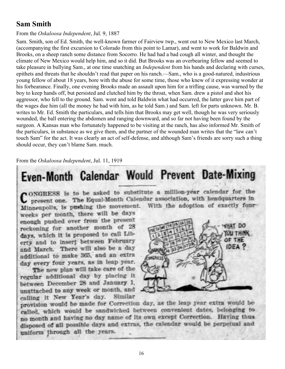## **Sam Smith**

#### From the *Oskaloosa Independent*, Jul. 9, 1887

Sam. Smith, son of Ed. Smith, the well-known farmer of Fairview twp., went out to New Mexico last March, (accompanying the first excursion to Colorado from this point to Lamar), and went to work for Baldwin and Brooks, on a sheep ranch some distance from Socorro. He had had a bad cough all winter, and thought the climate of New Mexico would help him, and so it did. But Brooks was an overbearing fellow and seemed to take pleasure in bullying Sam., at one time snatching an *Independent* from his hands and declaring with curses, epithets and threats that he shouldn't read that paper on his ranch.—Sam., who is a good-natured, industrious young fellow of about 18 years, bore with the abuse for some time, those who knew of it expressing wonder at his forbearance. Finally, one evening Brooks made an assault upon him for a trifling cause, was warned by the boy to keep hands off, but persisted and clutched him by the throat, when Sam. drew a pistol and shot his aggressor, who fell to the ground. Sam. went and told Baldwin what had occurred, the latter gave him part of the wages due him (all the money he had with him, as he told Sam.) and Sam. left for parts unknown. Mr. B. writes to Mr. Ed. Smith the particulars, and tells him that Brooks may get well, though he was very seriously wounded, the ball entering the abdomen and ranging downward, and so far not having been found by the surgeon. A Kansas man who fortunately happened to be visiting at the ranch, has also informed Mr. Smith of the particulars, in substance as we give them, and the partner of the wounded man writes that the "law can't touch Sam" for the act. It was clearly an act of self-defense, and although Sam's friends are sorry such a thing should occur, they can't blame Sam. much.

#### From the *Oskaloosa Independent*, Jul. 11, 1919

# Even-Month Calendar Would Prevent Date-Mixing

on ONGRESS is to be asked to substitute a million-year calendar for the present one. The Equal-Month Calendar association, with headquarters in Minneapolis, is pushing the movement. With the adoption of exactly four-

weeks per month, there will be days enough pushed over from the present reckoning for another month of 28 days, which it is proposed to call Liberty and to insert between February and March. There will also be a day additional to make 365, and an extra day every four years, as in leap year.

The new plan will take care of the regular additional day by placing it between December 28 and January 1, unattached to any week or month, and calling it New Year's day. Similar



provision would be made for Correction day, as the leap year extra would be called, which would be sandwiched between convenient dates, belonging to no month and having no day name of its own except Correction. Having thus disposed of all possible days and extras, the calendar would be perpetual and uniform through all the years.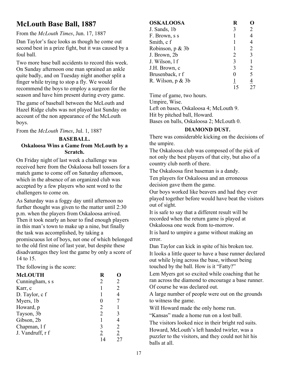# **McLouth Base Ball, 1887**

From the *McLouth Times*, Jun. 17, 1887

Dan Taylor's face looks as though he come out second best in a prize fight, but it was caused by a foul ball.

Two more base ball accidents to record this week. On Sunday afternoon one man sprained an ankle quite badly, and on Tuesday night another split a finger while trying to stop a fly. We would recommend the boys to employ a surgeon for the season and have him present during every game.

The game of baseball between the McLouth and Hazel Ridge clubs was not played last Sunday on account of the non appearance of the McLouth boys.

From the *McLouth Times*, Jul. 1, 1887

#### **BASEBALL. Oskaloosa Wins a Game from McLouth by a Scratch.**

On Friday night of last week a challenge was received here from the Oskaloosa ball tossers for a match game to come off on Saturday afternoon, which in the absence of an organized club was accepted by a few players who sent word to the challengers to come on.

As Saturday was a foggy day until afternoon no further thought was given to the matter until 2:30 p.m. when the players from Oskaloosa arrived. Then it took nearly an hour to find enough players in this man's town to make up a nine, but finally the task was accomplished, by taking a promiscuous lot of boys, not one of which belonged to the old first nine of last year, but despite these disadvantages they lost the game by only a score of 14 to 15.

The following is the score:

| <b>McLOUTH</b>   | R |                |
|------------------|---|----------------|
| Cunningham, s s  | 2 | 2              |
| Karr, c          |   | 2              |
| D. Taylor, c f   |   |                |
| Myers, 1b        |   |                |
| Howard, p        | 2 |                |
| Tayson, 3b       | 2 |                |
| Gibson, 2b       |   |                |
| Chapman, 1 f     | 3 | 2              |
| J. Vandruff, r f | 2 | $\overline{2}$ |
|                  |   |                |

| <b>OSKALOOSA</b>     | R         |                |
|----------------------|-----------|----------------|
| J. Sands, 1b         | 3         | 2              |
| F. Brown, s s        |           | 4              |
| Smith, c f           |           | $\overline{4}$ |
| Robinson, p & 3b     |           | $\overline{2}$ |
| J. Brown, 2b         | 2         | 3              |
| J. Wilson, 1 f       | 3         |                |
| J.H. Brown, c        | 3         | $\overline{2}$ |
| Brusenback, r f      | $_{0}$    | 5              |
| R. Wilson, $p \& 3b$ | <u> 1</u> | $\overline{4}$ |
|                      |           |                |

Time of game, two hours. Umpire, Wise. Left on bases, Oskaloosa 4; McLouth 9.

Hit by pitched ball, Howard.

Bases on balls, Oskaloosa 2; McLouth 0.

## **DIAMOND DUST.**

There was considerable kicking on the decisions of the umpire.

The Oskaloosa club was composed of the pick of not only the best players of that city, but also of a country club north of there.

The Oskaloosa first baseman is a dandy.

Ten players for Oskaloosa and an erroneous decision gave them the game.

Our boys worked like beavers and had they ever played together before would have beat the visitors out of sight.

It is safe to say that a different result will be recorded when the return game is played at Oskaloosa one week from to-morrow.

It is hard to umpire a game without making an error.

Dan Taylor can kick in spite of his broken toe. It looks a little queer to have a base runner declared out while lying across the base, without being touched by the ball. How is it "Fatty?"

Lem Myers got so excited while coaching that he ran across the diamond to encourage a base runner. Of course he was declared out.

A large number of people were out on the grounds to witness the game.

Will Howard made the only home run.

"Kansas" made a home run on a lost ball.

The visitors looked nice in their bright red suits.

Howard, McLouth's left handed twirler, was a puzzler to the visitors, and they could not hit his balls at all.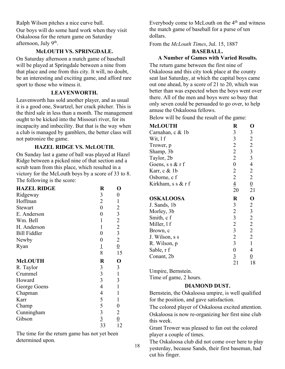Ralph Wilson pitches a nice curve ball.

Our boys will do some hard work when they visit Oskaloosa for the return game on Saturday afternoon, July 9<sup>th</sup>.

## **McLOUTH VS. SPRINGDALE.**

On Saturday afternoon a match game of baseball will be played at Springdale between a nine from that place and one from this city. It will, no doubt, be an interesting and exciting game, and afford rare sport to those who witness it.

#### **LEAVENWORTH.**

Leavenworth has sold another player, and as usual it is a good one, Swartzel, her crack pitcher. This is the third sale in less than a month. The management ought to be kicked into the Missouri river, for its incapacity and imbecility. But that is the way when a club is managed by gamblers, the better class will not patronize the game.

## **HAZEL RIDGE VS. McLOUTH.**

On Sunday last a game of ball was played at Hazel Ridge between a picked nine of that section and a scrub team from this place, which resulted in a victory for the McLouth boys by a score of 33 to 8. The following is the score:

| <b>HAZEL RIDGE</b>  | $\bf R$              | 0              |
|---------------------|----------------------|----------------|
| Ridgeway            | 3                    | 0              |
| Hoffman             | $\overline{2}$       | $\mathbf{1}$   |
| <b>Stewart</b>      | $\overline{0}$       | $\overline{c}$ |
| E. Anderson         | 0                    |                |
| Wm. Bell            | 1                    | $\frac{3}{2}$  |
| H. Anderson         | 1                    | $\overline{c}$ |
| <b>Bill Fiddler</b> | 0                    | $\overline{3}$ |
| Newby               | 0                    | $\overline{2}$ |
| Ryan                |                      | $\overline{0}$ |
|                     | $\frac{1}{8}$        | 15             |
|                     |                      |                |
| <b>McLOUTH</b>      | $\bf R$              | $\mathbf 0$    |
| R. Taylor           | 3                    | 3              |
| Crummel             | $\mathfrak{Z}$       | $\mathbf{1}$   |
| Howard              | $\overline{3}$       | 3              |
| George Goens        | 4                    | $\mathbf{1}$   |
| Chapman             | 4                    | 1              |
| Karr                | 5                    | 1              |
| Champ               | 5                    | 0              |
| Cunningham          | $\overline{3}$       | $\overline{2}$ |
| Gibson              | $\overline{3}$<br>33 | $\overline{0}$ |

The time for the return game has not yet been determined upon.

Everybody come to McLouth on the 4th and witness the match game of baseball for a purse of ten dollars.

From the *McLouth Times*, Jul. 15, 1887

### **BASEBALL. A Number of Games with Varied Results.**

The return game between the first nine of Oskaloosa and this city took place at the county seat last Saturday, at which the capital boys came out one ahead, by a score of 21 to 20, which was better than was expected when the boys went over there. All of the men and boys were so busy that only seven could be persuaded to go over, to help amuse the Oskaloosa fellows.

Below will be found the result of the game:

| <b>McLOUTH</b>     | $\bf R$          | O                                          |
|--------------------|------------------|--------------------------------------------|
| Carnahan, c & 1b   | 3                | $\mathfrak{Z}$                             |
| Wit, $1 f$         | 3                | $\overline{2}$                             |
| Trower, p          | $\overline{2}$   | $\begin{array}{c} 2 \\ 3 \\ 3 \end{array}$ |
| Shamp, 3b          | $\overline{2}$   |                                            |
| Taylor, 2b         | $\overline{2}$   |                                            |
| Goens, s s $&$ r f | $\boldsymbol{0}$ | $\overline{4}$                             |
| Karr, c & 1b       | $\overline{2}$   | $\overline{2}$                             |
| Osborne, c f       | $\overline{2}$   | $\overline{2}$                             |
| Kirkham, s s & r f | $\overline{4}$   | $\frac{0}{\sqrt{2}}$                       |
|                    | 20               | 21                                         |
|                    |                  |                                            |
| <b>OSKALOOSA</b>   | $\bf R$          | $\mathbf 0$                                |
| J. Sands, 1b       | 3                | $\overline{2}$                             |
| Morley, 3b         | $\overline{2}$   |                                            |
| Smith, c f         | $\mathfrak{Z}$   | $\overline{\mathbf{3}}$                    |
| Miller, 1 f        | $\overline{2}$   | $\overline{c}$<br>$\overline{2}$           |
| Brown, c           | $\overline{3}$   | $\overline{2}$                             |
| J. Wilson, s s     | $\overline{2}$   | $\overline{2}$                             |
| R. Wilson, p       | 3                | $\mathbf{1}$                               |
| Sable, r f         | $\boldsymbol{0}$ | 4                                          |
| Conant, 2b         | $\overline{3}$   | $\overline{0}$                             |

Umpire, Bernstein.

Time of game, 2 hours.

## **DIAMOND DUST.**

Bernstein, the Oskaloosa umpire, is well qualified for the position, and gave satisfaction.

The colored player of Oskaloosa excited attention. Oskaloosa is now re-organizing her first nine club this week.

Grant Trower was pleased to fan out the colored player a couple of times.

The Oskaloosa club did not come over here to play yesterday, because Sands, their first baseman, had cut his finger.

18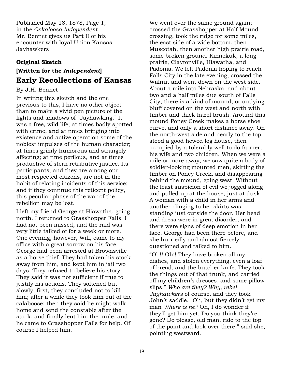Published May 18, 1878, Page 1, in the *Oskaloosa Independent* Mr. Bennet gives us Part II of his encounter with loyal Union Kansas Jayhawkers

#### ----

#### **Original Sketch**

# **[Written for the** *Independent***] Early Recollections of Kansas**

#### By J.H. Bennet

In writing this sketch and the one previous to this, I have no other object than to make a vivid pen picture of the lights and shadows of "Jayhawking." It was a free, wild life; at times badly spotted with crime, and at times bringing into existence and active operation some of the noblest impulses of the human character; at times grimly humorous and strangely affecting; at time perilous, and at times productive of stern retributive justice. Its participants, and they are among our most respected citizens, are not in the habit of relating incidents of this service; and if they continue this reticent policy, this peculiar phase of the war of the rebellion may be lost.

I left my friend George at Hiawatha, going north. I returned to Grasshopper Falls. I had not been missed, and the raid was very little talked of for a week or more. One evening, however, Will, came to my office with a great sorrow on his face. George had been arrested at Brownsville as a horse thief. They had taken his stock away from him, and kept him in jail two days. They refused to believe his story. They said it was not sufficient if true to justify his actions. They softened but slowly; first, they concluded not to kill him; after a while they took him out of the calaboose; then they said he might walk home and send the constable after the stock; and finally lent him the mule, and he came to Grasshopper Falls for help. Of course I helped him.

We went over the same ground again; crossed the Grasshopper at Half Mound crossing, took the ridge for some miles, the east side of a wide bottom, then Muscotah, then another high prairie road, some broken ground. Kinnekuk, a long prairie, Claytonville, Hiawatha, and Padonia. We left Padonia hoping to reach Falls City in the late evening, crossed the Walnut and went down on the west side. About a mile into Nebraska, and about two and a half miles due south of Falls City, there is a kind of mound, or outlying bluff covered on the west and north with timber and thick hazel brush. Around this mound Poney Creek makes a horse shoe curve, and only a short distance away. On the north-west side and nearly to the top stood a good hewed log house, then occupied by a tolerably well to do farmer, his wife and two children. When we were a mile or more away, we saw quite a body of soldier-looking mounted men, skirting the timber on Poney Creek, and disappearing behind the mound, going west. Without the least suspicion of evil we jogged along and pulled up at the house, just at dusk. A woman with a child in her arms and another clinging to her skirts was standing just outside the door. Her head and dress were in great disorder, and there were signs of deep emotion in her face. George had been there before, and she hurriedly and almost fiercely questioned and talked to him.

"Oh!! Oh!! They have broken all my dishes, and stolen everything, even a loaf of bread, and the butcher knife. They took the things out of that trunk, and carried off my children's dresses, and some pillow slips." *Who are they? Why, rebel Jayhawkers* of course, and they took John's saddle. "Oh, but they didn't get my man *Where is he?* Oh, I do wonder if they'll get him yet. Do you think they're gone? Do please, old man, ride to the top of the point and look over there," said she, pointing westward.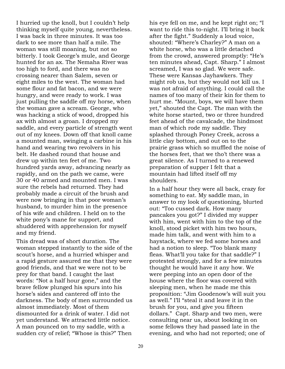I hurried up the knoll, but I couldn't help thinking myself quite young, nevertheless. I was back in three minutes. It was too dark to see more than half a mile. The woman was still moaning, but not so bitterly. I took George's mule, and George hunted for an ax. The Nemaha River was too high to ford, and there was no crossing nearer than Salem, seven or eight miles to the west. The woman had some flour and fat bacon, and we were hungry, and were ready to work. I was just pulling the saddle off my horse, when the woman gave a scream. George, who was hacking a stick of wood, dropped his ax with almost a groan. I dropped my saddle, and every particle of strength went out of my knees. Down off that knoll came a mounted man, swinging a carbine in his hand and wearing two revolvers in his belt. He dashed round that house and drew up within ten feet of me. Two hundred yards away, advancing nearly as rapidly, and on the path we came, were 30 or 40 armed and mounted men. I was sure the rebels had returned. They had probably made a circuit of the brush and were now bringing in that poor woman's husband, to murder him in the presence of his wife and children. I held on to the white pony's mane for support, and shuddered with apprehension for myself and my friend.

This dread was of short duration. The woman stepped instantly to the side of the scout's horse, and a hurried whisper and a rapid gesture assured me that they were good friends, and that we were not to be prey for that band. I caught the last words: "Not a half hour gone," and the brave fellow plunged his spurs into his horse's sides and cantered off into the darkness. The body of men surrounded us almost immediately. Most of them dismounted for a drink of water. I did not yet understand. We attracted little notice. A man pounced on to my saddle, with a sudden cry of relief; "Whose is this?" Then

his eye fell on me, and he kept right on; "I want to ride this to-night. I'll bring it back after the fight." Suddenly a loud voice, shouted: "Where's Charley?" A man on a white horse, who was a little detached from the crowd, answered promptly: "He's ten minutes ahead, Capt. Sharp." I almost screamed, I was so glad. We were safe. These were Kansas Jayhawkers. They might rob us, but they would not kill us. I was not afraid of anything. I could call the names of too many of their kin for them to hurt me. "Mount, boys, we will have them yet," shouted the Capt. The man with the white horse started, two or three hundred feet ahead of the cavalcade, the hindmost man of which rode my saddle. They splashed through Poney Creek, across a little clay bottom, and out on to the prairie grass which so muffled the noise of the horses feet, that we tho't there was a great silence. As I turned to a renewed preparation of supper I felt that a mountain had lifted itself off my shoulders.

In a half hour they were all back, crazy for something to eat. My saddle man, in answer to my look of questioning, blurted out: "Too cussed dark. How many pancakes you got?" I divided my supper with him, went with him to the top of the knoll, stood picket with him two hours, made him talk, and went with him to a haystack, where we fed some horses and had a notion to sleep. "Too blank many fleas. What'll you take for that saddle?" I protested strongly, and for a few minutes thought he would have it any how. We were peeping into an open door of the house where the floor was covered with sleeping men, when he made me this proposition: "Jim Goodenow's will suit you as well." I'll "steal it and leave it in the brush for you, and give you fifteen dollars." Capt. Sharp and two men, were consulting near us, about looking in on some fellows they had passed late in the evening, and who had not reported; one of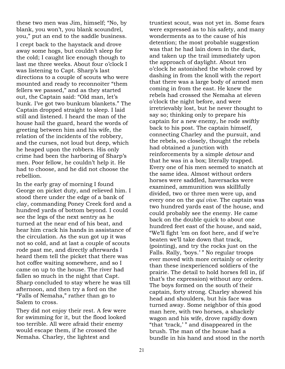these two men was Jim, himself; "No, by blank, you won't, you blank scoundrel, you," put an end to the saddle business.

I crept back to the haystack and drove away some hogs, but couldn't sleep for the cold; I caught lice enough though to last me three weeks. About four o'clock I was listening to Capt. Sharp's last directions to a couple of scouts who were mounted and ready to reconnoiter "them fellers we passed," and as they started out, the Captain said: "Old man, let's bunk. I've got two bunkum blankets." The Captain dropped straight to sleep. I laid still and listened. I heard the man of the house hail the guard, heard the words of greeting between him and his wife, the relation of the incidents of the robbery, and the curses, not loud but deep, which he heaped upon the robbers. His only crime had been the harboring of Sharp's men. Poor fellow, he couldn't help it. He had to choose, and he did not choose the rebellion.

In the early gray of morning I found George on picket duty, and relieved him. I stood there under the edge of a bank of clay, commanding Poney Creek ford and a hundred yards of bottom beyond. I could see the legs of the next sentry as he turned at the near end of his beat, and hear him crack his hands in assistance of the circulation. As the sun got up it was not so cold, and at last a couple of scouts rode past me, and directly afterwards I heard them tell the picket that there was hot coffee waiting somewhere, and so I came on up to the house. The river had fallen so much in the night that Capt. Sharp concluded to stay where he was till afternoon, and then try a ford on the "Falls of Nemaha," rather than go to Salem to cross.

They did not enjoy their rest. A few were for swimming for it, but the flood looked too terrible. All were afraid their enemy would escape them, if he crossed the Nemaha. Charley, the lightest and

trustiest scout, was not yet in. Some fears were expressed as to his safety, and many wonderments as to the cause of his detention; the most probable suggestion was that he had lain down in the dark, and taken up the trail immediately upon the approach of daylight. About ten o'clock he astonished the whole crowd by dashing in from the knoll with the report that there was a large body of armed men coming in from the east. He knew the rebels had crossed the Nemaha at eleven o'clock the night before, and were irretrievably lost, but he never thought to say so; thinking only to prepare his captain for a new enemy, he rode swiftly back to his post. The captain himself, connecting Charley and the pursuit, and the rebels, so closely, thought the rebels had obtained a junction with reinforcements by a simple *detour* and that he was in a box; literally trapped. Every one of his men seemed to snatch at the same idea. Almost without orders horses were saddled, haversacks were examined, ammunition was skillfully divided, two or three men were up, and every one on the *qui vive*. The captain was two hundred yards east of the house, and could probably see the enemy. He came back on the double quick to about one hundred feet east of the house, and said, "We'll fight 'em on foot here, and if we're beaten we'll take down that track, (pointing), and try the rocks just on the Falls. Rally, 'boys.' " No regular troops ever moved with more certainly or celerity than these inexperienced soldiers of the prairie. The detail to hold horses fell in, (if that's the expression) without any orders. The boys formed on the south of their captain, forty strong. Charley showed his head and shoulders, but his face was turned away. Some neighbor of this good man here, with two horses, a shackely wagon and his wife, drove rapidly down "that 'track,' " and disappeared in the brush. The man of the house had a bundle in his hand and stood in the north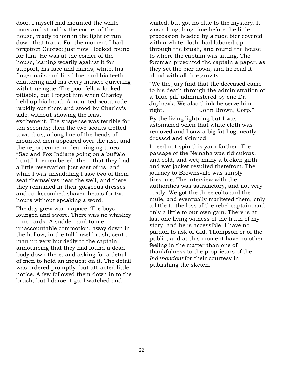door. I myself had mounted the white pony and stood by the corner of the house, ready to join in the fight or run down that track. For the moment I had forgotten George; just now I looked round for him. He was at the corner of the house, leaning wearily against it for support, his face and hands, white, his finger nails and lips blue, and his teeth chattering and his every muscle quivering with true ague. The poor fellow looked pitiable, but I forgot him when Charley held up his hand. A mounted scout rode rapidly out there and stood by Charley's side, without showing the least excitement. The suspense was terrible for ten seconds; then the two scouts trotted toward us, a long line of the heads of mounted men appeared over the rise, and the report came in clear ringing tones; "Sac and Fox Indians going on a buffalo hunt." I remembered, then, that they had a little reservation just east of us, and while I was unsaddling I saw two of them seat themselves near the well, and there they remained in their gorgeous dresses and cockscombed shaven heads for two hours without speaking a word.

The day grew warm apace. The boys lounged and swore. There was no whiskey —no cards. A sudden and to me unaccountable commotion, away down in the hollow, in the tall hazel brush, sent a man up very hurriedly to the captain, announcing that they had found a dead body down there, and asking for a detail of men to hold an inquest on it. The detail was ordered promptly, but attracted little notice. A few followed them down in to the brush, but I darsent go. I watched and

waited, but got no clue to the mystery. It was a long, long time before the little procession headed by a rude bier covered with a white cloth, had labored up through the brush, and round the house to where the captain was sitting. The foreman presented the captain a paper, as they set the bier down, and he read it aloud with all due gravity.

"We the jury find that the deceased came to his death through the administration of a 'blue pill' administered by one Dr. Jayhawk. We also think he serve him right. John Brown, Corp."

By the living lightning but I was astonished when that white cloth was removed and I saw a big fat hog, neatly dressed and skinned.

I need not spin this yarn farther. The passage of the Nemaha was ridiculous, and cold, and wet; many a broken girth and wet jacket resulted therefrom. The journey to Brownsville was simply tiresome. The interview with the authorities was satisfactory, and not very costly. We got the three colts and the mule, and eventually marketed them, only a little to the loss of the rebel captain, and only a little to our own gain. There is at last one living witness of the truth of my story, and he is accessible. I have no pardon to ask of Gid. Thompson or of the public, and at this moment have no other feeling in the matter than one of thankfulness to the proprietors of the *Independent* for their courtesy in publishing the sketch.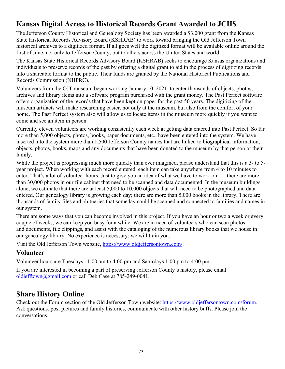# **Kansas Digital Access to Historical Records Grant Awarded to JCHS**

The Jefferson County Historical and Genealogy Society has been awarded a \$3,000 grant from the Kansas State Historical Records Advisory Board (KSHRAB) to work toward bringing the Old Jefferson Town historical archives to a digitized format. If all goes well the digitized format will be available online around the first of June, not only to Jefferson County, but to others across the United States and world.

The Kansas State Historical Records Advisory Board (KSHRAB) seeks to encourage Kansas organizations and individuals to preserve records of the past by offering a digital grant to aid in the process of digitizing records into a shareable format to the public. Their funds are granted by the National Historical Publications and Records Commission (NHPRC).

Volunteers from the OJT museum began working January 10, 2021, to enter thousands of objects, photos, archives and library items into a software program purchased with the grant money. The Past Perfect software offers organization of the records that have been kept on paper for the past 50 years. The digitizing of the museum artifacts will make researching easier, not only at the museum, but also from the comfort of your home. The Past Perfect system also will allow us to locate items in the museum more quickly if you want to come and see an item in person.

Currently eleven volunteers are working consistently each week at getting data entered into Past Perfect. So far more than 5,000 objects, photos, books, paper documents, etc., have been entered into the system. We have inserted into the system more than 1,500 Jefferson County names that are linked to biographical information, objects, photos, books, maps and any documents that have been donated to the museum by that person or their family.

While the project is progressing much more quickly than ever imagined, please understand that this is a 3- to 5year project. When working with each record entered, each item can take anywhere from 4 to 10 minutes to enter. That's a lot of volunteer hours. Just to give you an idea of what we have to work on . . . there are more than 30,000 photos in our file cabinet that need to be scanned and data documented. In the museum buildings alone, we estimate that there are at least 5,000 to 10,000 objects that will need to be photographed and data entered. Our genealogy library is growing each day; there are more than 5,000 books in the library. There are thousands of family files and obituaries that someday could be scanned and connected to families and names in our system.

There are some ways that you can become involved in this project. If you have an hour or two a week or every couple of weeks, we can keep you busy for a while. We are in need of volunteers who can scan photos and documents, file clippings, and assist with the cataloging of the numerous library books that we house in our genealogy library. No experience is necessary; we will train you.

Visit the Old Jefferson Town website, https://www.oldjeffersontown.com/.

## **Volunteer**

Volunteer hours are Tuesdays 11:00 am to 4:00 pm and Saturdays 1:00 pm to 4:00 pm.

If you are interested in becoming a part of preserving Jefferson County's history, please email oldjefftown@gmail.com or call Deb Case at 785-249-0041.

# **Share History Online**

Check out the Forum section of the Old Jefferson Town website: https://www.oldjeffersontown.com/forum. Ask questions, post pictures and family histories, communicate with other history buffs. Please join the conversations.